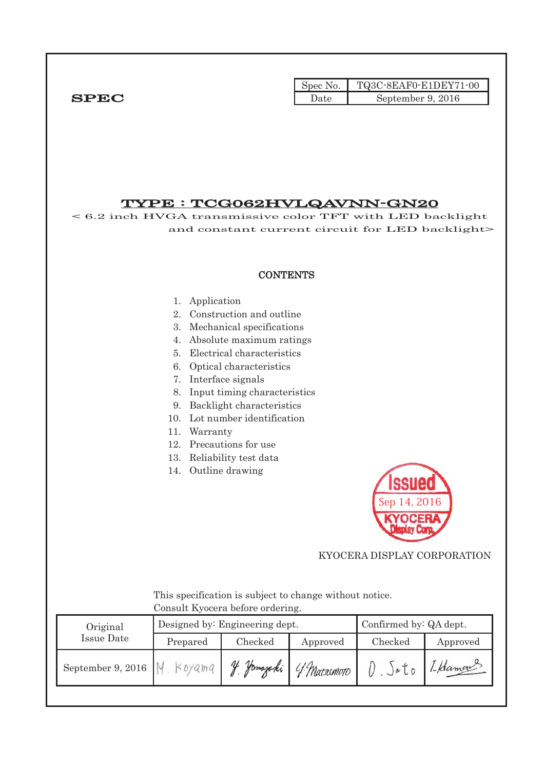|              | Spec No. |                   |
|--------------|----------|-------------------|
| ${\bf SPEC}$ | Jate     | September 9, 2016 |

# TYPE : TCG062HVLQAVNN-GN20 < 6.2 inch HVGA transmissive color TFT with LED backlight

 and constant current circuit for LED backlight> **CONTENTS** 1. Application 2. Construction and outline 3. Mechanical specifications 4. Absolute maximum ratings 5. Electrical characteristics 6. Optical characteristics 7. Interface signals 8. Input timing characteristics 9. Backlight characteristics 10. Lot number identification 11. Warranty 12. Precautions for use 13. Reliability test data 14. Outline drawing Sep 14, 2016 KYOCERA DISPLAY CORPORATION This specification is subject to change without notice. Consult Kyocera before ordering. Designed by: Engineering dept. Confirmed by: QA dept. Original Issue Date Prepared Checked Approved Checked Approved September 9, 2016  $M$ . Koyama V. Jomajaki O. Soto LHaman Y Matsumoto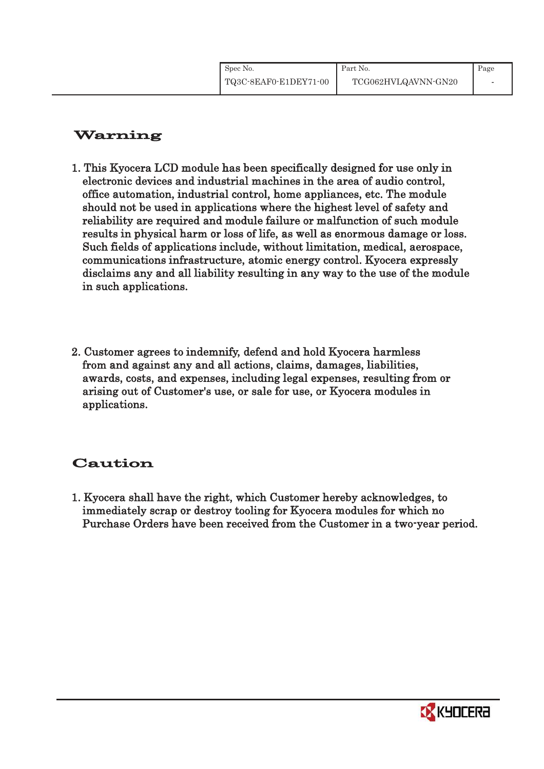| Spec No.              | Part No.            | Page |
|-----------------------|---------------------|------|
| TQ3C-8EAF0-E1DEY71-00 | TCG062HVLQAVNN-GN20 |      |

# Warning

- 1. This Kyocera LCD module has been specifically designed for use only in electronic devices and industrial machines in the area of audio control, office automation, industrial control, home appliances, etc. The module should not be used in applications where the highest level of safety and reliability are required and module failure or malfunction of such module results in physical harm or loss of life, as well as enormous damage or loss. Such fields of applications include, without limitation, medical, aerospace, communications infrastructure, atomic energy control. Kyocera expressly disclaims any and all liability resulting in any way to the use of the module in such applications.
- 2. Customer agrees to indemnify, defend and hold Kyocera harmless from and against any and all actions, claims, damages, liabilities, awards, costs, and expenses, including legal expenses, resulting from or arising out of Customer's use, or sale for use, or Kyocera modules in applications.

# Caution

1. Kyocera shall have the right, which Customer hereby acknowledges, to immediately scrap or destroy tooling for Kyocera modules for which no Purchase Orders have been received from the Customer in a two-year period.

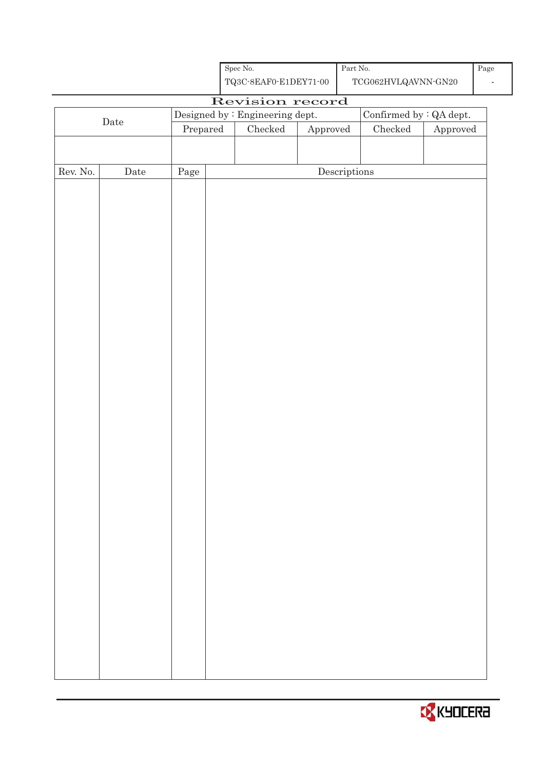| Spec No.              |
|-----------------------|
| TQ3C-8EAF0-E1DEY71-00 |

Part No. TCG062HVLQAVNN-GN20

# Revision record Date Designed by : Engineering dept.  $\boxed{\text{Confirmed by : QA dept.}}$ Prepared Checked Approved Checked Approved Rev. No. Date Page Page Descriptions

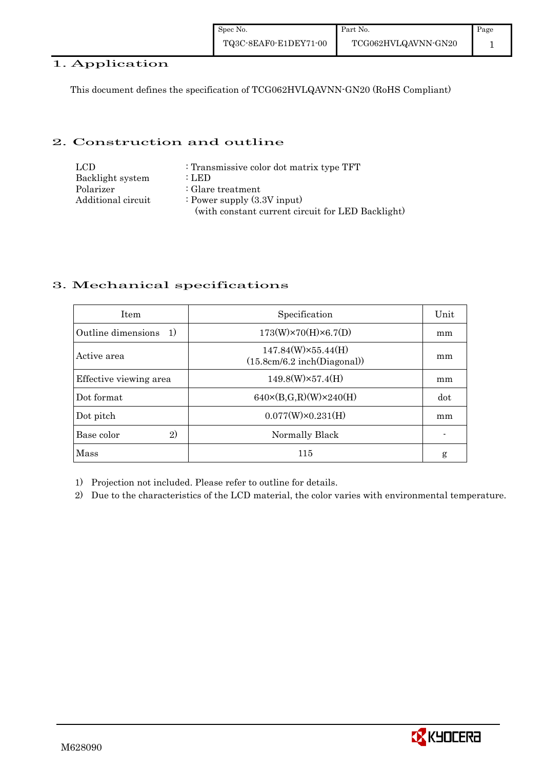| Spec No.              | Part No.       |
|-----------------------|----------------|
| TQ3C-8EAF0-E1DEY71-00 | TCG062HVLQAVNI |

# 1. Application

This document defines the specification of TCG062HVLQAVNN-GN20 (RoHS Compliant)

# 2. Construction and outline

| LCD.               | : Transmissive color dot matrix type TFT          |
|--------------------|---------------------------------------------------|
| Backlight system   | : LED                                             |
| Polarizer          | $\therefore$ Glare treatment                      |
| Additional circuit | : Power supply $(3.3V$ input)                     |
|                    | (with constant current circuit for LED Backlight) |

# 3. Mechanical specifications

| <b>Item</b>               | Specification                                             | Unit |
|---------------------------|-----------------------------------------------------------|------|
| Outline dimensions<br>-1) | $173(W)\times70(H)\times6.7(D)$                           | mm   |
| Active area               | $147.84(W)\times 55.44(H)$<br>(15.8cm/6.2 inch(Diagonal)) | mm   |
| Effective viewing area    | $149.8(W)\times 57.4(H)$                                  | mm   |
| Dot format                | $640 \times (B,G,R)(W) \times 240(H)$                     | dot  |
| Dot pitch                 | $0.077(W)\times0.231(H)$                                  | mm   |
| 2)<br>Base color          | Normally Black                                            |      |
| Mass                      | 115                                                       | g    |

1) Projection not included. Please refer to outline for details.

2) Due to the characteristics of the LCD material, the color varies with environmental temperature.



1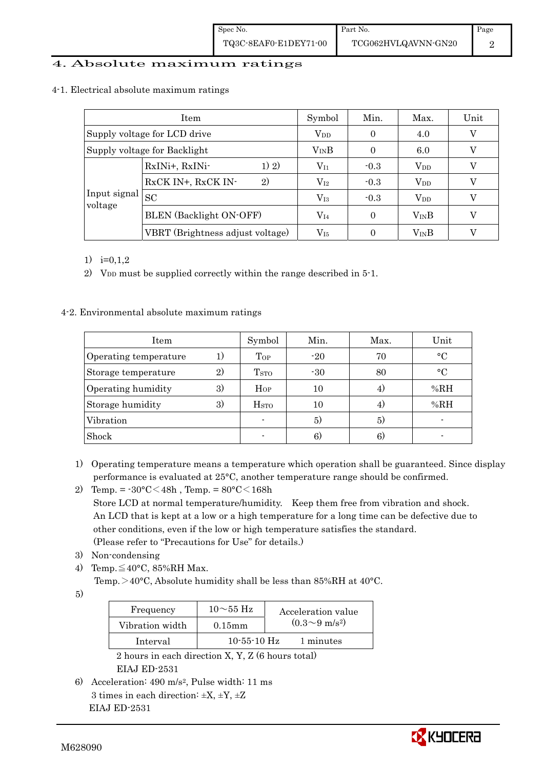## 4. Absolute maximum ratings

#### 4-1. Electrical absolute maximum ratings

|                                  | Item                           | Symbol       | Min.     | Max.          | Unit     |
|----------------------------------|--------------------------------|--------------|----------|---------------|----------|
| Supply voltage for LCD drive     |                                | $V_{DD}$     | $\Omega$ | 4.0           | $\rm _V$ |
| Supply voltage for Backlight     |                                | $V_{IN}B$    | 0        | 6.0           | V        |
|                                  | 1) 2)<br>RxINi+, RxINi-        | $V_{I1}$     | $-0.3$   | $V_{DD}$      | V        |
|                                  | RxCK IN+, RxCK IN-<br>2)       | $\rm V_{I2}$ | $-0.3$   | $V_{DD}$      |          |
| Input signal<br><b>SC</b>        |                                | $\rm V_{I3}$ | $-0.3$   | $V_{DD}$      | V        |
| voltage                          | <b>BLEN</b> (Backlight ON-OFF) | $\rm V_{I4}$ | $\Omega$ | $V_{IN}B$     | V        |
| VBRT (Brightness adjust voltage) |                                | $\rm V_{15}$ |          | $V_{\rm IN}B$ | V        |

1)  $i=0,1,2$ 

2) V<sub>DD</sub> must be supplied correctly within the range described in 5-1.

## 4-2. Environmental absolute maximum ratings

| <b>Item</b>           |    | Symbol                  | Min.  | Max. | Unit         |
|-----------------------|----|-------------------------|-------|------|--------------|
| Operating temperature |    | Top                     | $-20$ | 70   | $^{\circ}$ C |
| Storage temperature   | 2) | T <sub>STO</sub>        | $-30$ | 80   | $^{\circ}$   |
| Operating humidity    | 3) | Hop                     | 10    | 4,   | %RH          |
| Storage humidity      | 3) | <b>H</b> <sub>STO</sub> | 10    | 4)   | %RH          |
| Vibration             |    |                         | 5)    | 5)   |              |
| Shock                 |    |                         | 6     | 6.   |              |

- 1) Operating temperature means a temperature which operation shall be guaranteed. Since display performance is evaluated at 25°C, another temperature range should be confirmed.
- 2) Temp. =  $-30^{\circ}$ C $<$ 48h, Temp. =  $80^{\circ}$ C $<$ 168h Store LCD at normal temperature/humidity. Keep them free from vibration and shock. An LCD that is kept at a low or a high temperature for a long time can be defective due to other conditions, even if the low or high temperature satisfies the standard. (Please refer to "Precautions for Use" for details.)
- 3) Non-condensing
- 4) Temp. $\leq 40^{\circ}$ C, 85%RH Max.
	- Temp. >40°C, Absolute humidity shall be less than 85%RH at 40°C.

5)

| Frequency       | $10\sim$ 55 Hz | Acceleration value         |
|-----------------|----------------|----------------------------|
| Vibration width | $0.15$ mm      | $(0.3{\sim}9~{\rm m/s^2})$ |
| Interval        | $10-55-10$ Hz  | 1 minutes                  |

 2 hours in each direction X, Y, Z (6 hours total) EIAJ ED-2531

6) Acceleration: 490 m/s2, Pulse width: 11 ms 3 times in each direction: ±X, ±Y, ±Z EIAJ ED-2531

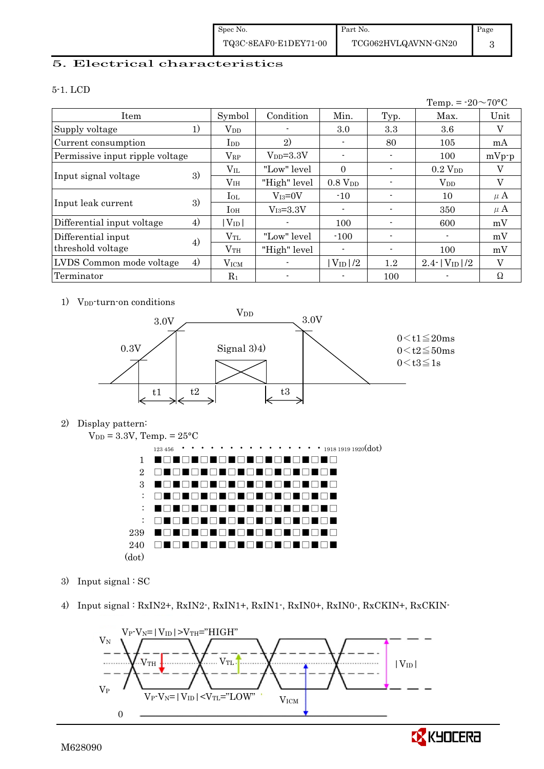| Spec No.              | Part No.            | Page |
|-----------------------|---------------------|------|
| TQ3C-8EAF0-E1DEY71-00 | TCG062HVLQAVNN-GN20 |      |

# 5. Electrical characteristics

#### 5-1. LCD

|                                 |    |                 |               |                     |                | Temp. = $-20 \sim 70$ °C       |         |
|---------------------------------|----|-----------------|---------------|---------------------|----------------|--------------------------------|---------|
| Item                            |    | Symbol          | Condition     | Min.                | Typ.           | Max.                           | Unit    |
| Supply voltage                  | 1) | $V_{DD}$        |               | 3.0                 | 3.3            | $3.6\,$                        | V       |
| Current consumption             |    | $_{\rm{LDD}}$   | 2)            | ٠                   | 80             | 105                            | mA      |
| Permissive input ripple voltage |    | $V_{RP}$        | $V_{DD}=3.3V$ | $\blacksquare$      |                | 100                            | $mVp-p$ |
|                                 |    | $\rm V_{II}$    | "Low" level   | $\Omega$            |                | $0.2$ $V_{DD}$                 | V       |
| Input signal voltage            | 3) | V <sub>IH</sub> | "High" level  | 0.8 V <sub>DD</sub> |                | $V_{DD}$                       | V       |
|                                 | 3) | $_{\rm IoL}$    | $V_{I3}=0V$   | $-10$               |                | 10                             | $\mu$ A |
| Input leak current              |    | $I_{OH}$        | $V_{I3}=3.3V$ | $\blacksquare$      |                | 350                            | $\mu$ A |
| Differential input voltage      | 4) | $V_{ID}$        |               | 100                 |                | 600                            | mV      |
| Differential input              | 4) | $\rm V_{TL}$    | "Low" level   | $-100$              |                |                                | mV      |
| threshold voltage               |    | $V_{TH}$        | "High" level  | $\blacksquare$      | $\blacksquare$ | 100                            | mV      |
| LVDS Common mode voltage        | 4) | $\rm V_{ICM}$   |               | $V_{\text{ID}}/2$   | $1.2\,$        | $2.4$ -   $V_{\text{ID}}$   /2 | V       |
| Terminator                      |    | $R_1$           |               | $\blacksquare$      | 100            |                                | Ω       |

1) V<sub>DD</sub>-turn-on conditions



2) Display pattern:



- 3) Input signal : SC
- 4) Input signal : RxIN2+, RxIN2-, RxIN1+, RxIN1-, RxIN0+, RxIN0-, RxCKIN+, RxCKIN-



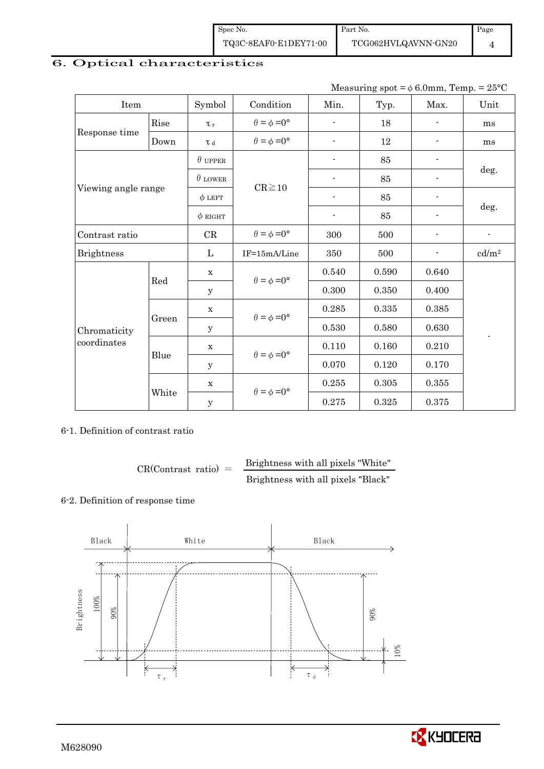| Spec No.              | Part No.    |
|-----------------------|-------------|
| TQ3C-8EAF0-E1DEY71-00 | TCG062HVLQ. |

# 6. Optical characteristics

Measuring spot =  $\phi$  6.0mm, Temp. = 25°C

| Item                |       | Symbol              | Condition                   | Min.                     | $\sim$ $\sim$<br>Typ. | Max.                     | л.<br>Unit                 |
|---------------------|-------|---------------------|-----------------------------|--------------------------|-----------------------|--------------------------|----------------------------|
| Rise                |       | $\tau$              | $\theta = \phi = 0^{\circ}$ |                          | 18                    |                          | ms                         |
| Response time       | Down  | $\tau$ <sub>d</sub> | $\theta = \phi = 0^{\circ}$ | $\overline{\phantom{a}}$ | 12                    |                          | ms                         |
|                     |       | $\theta$ upper      |                             |                          | 85                    |                          |                            |
|                     |       | $\theta$ LOWER      | $CR \ge 10$                 |                          | 85                    |                          | deg.                       |
| Viewing angle range |       | $\phi$ LEFT         |                             | $\blacksquare$           | 85                    | $\overline{\phantom{a}}$ |                            |
|                     |       | $\phi$ RIGHT        |                             |                          | 85                    |                          | deg.                       |
| Contrast ratio      |       | CR                  | $\theta = \phi = 0^{\circ}$ | 300                      | 500                   |                          | $\blacksquare$             |
| <b>Brightness</b>   |       | $\mathbf{L}$        | IF=15mA/Line                | 350                      | 500                   |                          | $\mathrm{cd}/\mathrm{m}^2$ |
|                     | Red   | $\mathbf X$         | $\theta = \phi = 0^{\circ}$ | 0.540                    | 0.590                 | 0.640                    |                            |
|                     |       | y                   |                             | 0.300                    | 0.350                 | 0.400                    |                            |
|                     |       | $\mathbf X$         | $\theta = \phi = 0^{\circ}$ | 0.285                    | $\,0.335\,$           | 0.385                    |                            |
| Chromaticity        | Green | У                   |                             | 0.530                    | 0.580                 | 0.630                    |                            |
| coordinates         |       | $\mathbf X$         | $\theta = \phi = 0^{\circ}$ | 0.110                    | 0.160                 | 0.210                    |                            |
|                     | Blue  | У                   |                             | 0.070                    | 0.120                 | $0.170\,$                |                            |
|                     |       | $\mathbf X$         | $\theta = \phi = 0^{\circ}$ | 0.255                    | 0.305                 | 0.355                    |                            |
|                     | White | $\mathbf y$         |                             | 0.275                    | 0.325                 | 0.375                    |                            |

## 6-1. Definition of contrast ratio

$$
CR(Contrast ratio) = \frac{Brightness with all pixels "White"
$$
Brightness with all pixels "Black"

## 6-2. Definition of response time





Page 4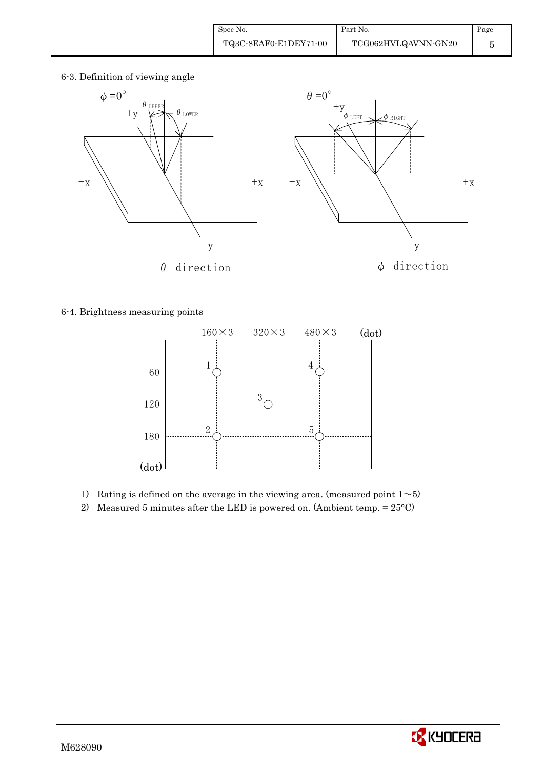6-3. Definition of viewing angle



6-4. Brightness measuring points



1) Rating is defined on the average in the viewing area. (measured point  $1~>5$ )

2) Measured 5 minutes after the LED is powered on. (Ambient temp.  $= 25^{\circ}$ C)

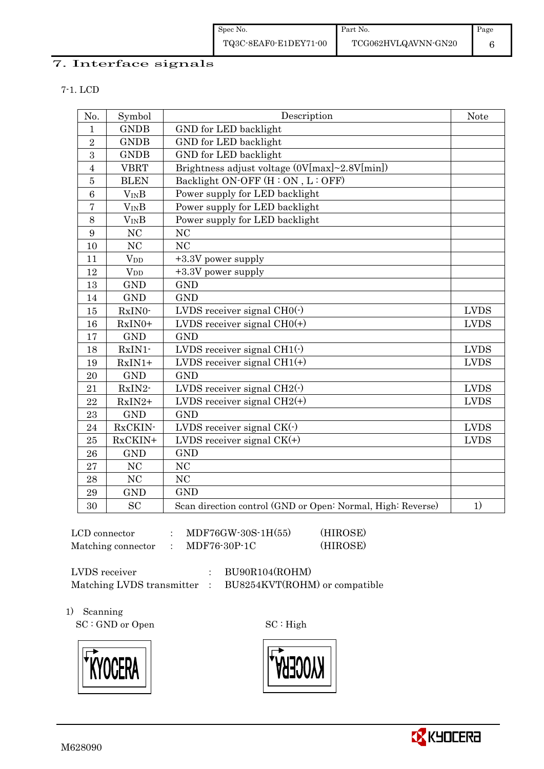Spec No. TQ3C-8EAF0-E1DEY71-00 Part No. TCG062HVLQAVNN-GN20 Page 6

## 7. Interface signals

7-1. LCD

| No.            | Symbol                | Description                                                 | <b>Note</b> |
|----------------|-----------------------|-------------------------------------------------------------|-------------|
| $\mathbf{1}$   | <b>GNDB</b>           | GND for LED backlight                                       |             |
| $\overline{2}$ | <b>GNDB</b>           | GND for LED backlight                                       |             |
| 3              | <b>GNDB</b>           | GND for LED backlight                                       |             |
| $\overline{4}$ | <b>VBRT</b>           | Brightness adjust voltage (0V[max]~2.8V[min])               |             |
| $\bf 5$        | <b>BLEN</b>           | Backlight ON-OFF (H: ON, L: OFF)                            |             |
| 6              | $V_{IN}B$             | Power supply for LED backlight                              |             |
| $\overline{7}$ | $V_{IN}B$             | Power supply for LED backlight                              |             |
| 8              | <b>VINB</b>           | Power supply for LED backlight                              |             |
| 9              | NC                    | <b>NC</b>                                                   |             |
| 10             | N <sub>C</sub>        | N <sub>C</sub>                                              |             |
| 11             | $V_{DD}$              | +3.3V power supply                                          |             |
| 12             | <b>V<sub>DD</sub></b> | +3.3V power supply                                          |             |
| 13             | <b>GND</b>            | <b>GND</b>                                                  |             |
| 14             | <b>GND</b>            | <b>GND</b>                                                  |             |
| 15             | RxIN0-                | LVDS receiver signal $CHO(·)$                               | <b>LVDS</b> |
| 16             | RxIN0+                | LVDS receiver signal $CHO(+)$                               | <b>LVDS</b> |
| 17             | <b>GND</b>            | <b>GND</b>                                                  |             |
| 18             | RxIN1-                | LVDS receiver signal $CH1(\cdot)$                           | <b>LVDS</b> |
| 19             | $RxIN1+$              | LVDS receiver signal $CH1(+)$                               | <b>LVDS</b> |
| 20             | <b>GND</b>            | <b>GND</b>                                                  |             |
| 21             | RxIN2-                | LVDS receiver signal $CH2(\cdot)$                           | <b>LVDS</b> |
| 22             | $RxIN2+$              | LVDS receiver signal $CH2(+)$                               | <b>LVDS</b> |
| 23             | <b>GND</b>            | <b>GND</b>                                                  |             |
| 24             | RxCKIN-               | LVDS receiver signal $CK(\cdot)$                            | <b>LVDS</b> |
| 25             | RxCKIN+               | LVDS receiver signal $CK(+)$                                | <b>LVDS</b> |
| 26             | <b>GND</b>            | <b>GND</b>                                                  |             |
| 27             | N <sub>C</sub>        | N <sub>C</sub>                                              |             |
| 28             | $\rm NC$              | NC                                                          |             |
| 29             | <b>GND</b>            | <b>GND</b>                                                  |             |
| 30             | SC                    | Scan direction control (GND or Open: Normal, High: Reverse) | 1)          |

LCD connector : MDF76GW-30S-1H(55) (HIROSE) Matching connector : MDF76-30P-1C (HIROSE)

LVDS receiver : BU90R104(ROHM)

Matching LVDS transmitter : BU8254KVT(ROHM) or compatible

1) Scanning

SC : GND or Open SC : High







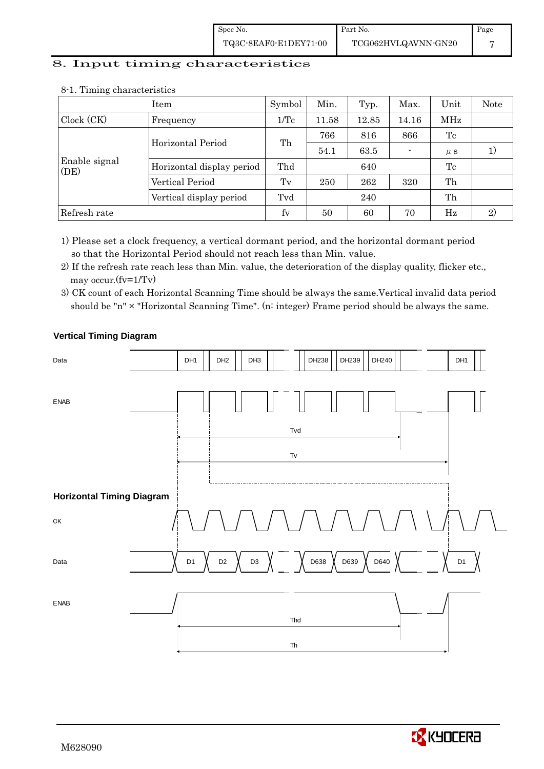# 8. Input timing characteristics

|                       | Item                      | Symbol  | Min.                                                                                  | Typ.  | Max.  | Unit    | Note |
|-----------------------|---------------------------|---------|---------------------------------------------------------------------------------------|-------|-------|---------|------|
| Clock (CK)            | Frequency                 | 1/Tc    | 11.58                                                                                 | 12.85 | 14.16 | MHz     |      |
|                       | Horizontal Period         |         | 766                                                                                   | 816   | 866   | Tc      |      |
|                       |                           |         | 54.1                                                                                  | 63.5  |       | $\mu$ S |      |
| Enable signal<br>(DE) | Horizontal display period | Thd     |                                                                                       | 640   |       | Tc      |      |
|                       | Vertical Period           | $T_{V}$ | Th<br>Th<br>262<br>250<br>320<br>Tvd<br>Th<br>240<br>fy<br>2)<br>70<br>Hz<br>60<br>50 |       |       |         |      |
|                       | Vertical display period   |         |                                                                                       |       |       |         |      |
| Refresh rate          |                           |         |                                                                                       |       |       |         |      |

#### 8-1. Timing characteristics

1) Please set a clock frequency, a vertical dormant period, and the horizontal dormant period so that the Horizontal Period should not reach less than Min. value.

2) If the refresh rate reach less than Min. value, the deterioration of the display quality, flicker etc., may occur.(fv=1/Tv)

<sup>3)</sup> CK count of each Horizontal Scanning Time should be always the same.Vertical invalid data period should be "n" × "Horizontal Scanning Time". (n: integer) Frame period should be always the same.



# **Vertical Timing Diagram**

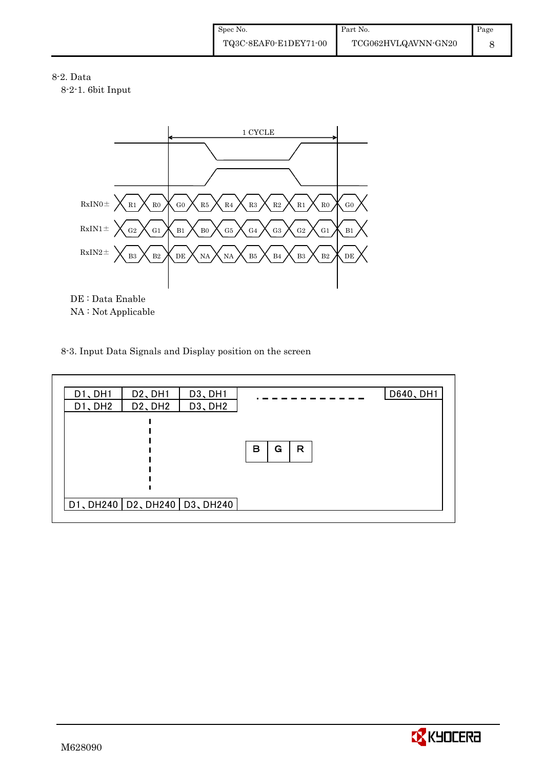8-2. Data

8-2-1. 6bit Input



## 8-3. Input Data Signals and Display position on the screen

| D1、DH1  | D <sub>2</sub> , DH <sub>1</sub>  | D <sub>3</sub> , DH <sub>1</sub> | D640, DH1   |  |
|---------|-----------------------------------|----------------------------------|-------------|--|
| D1, DH2 | D <sub>2</sub> , DH <sub>2</sub>  | D <sub>3</sub> , DH <sub>2</sub> |             |  |
|         |                                   |                                  |             |  |
|         |                                   |                                  |             |  |
|         |                                   |                                  | в<br>R<br>G |  |
|         |                                   |                                  |             |  |
|         |                                   |                                  |             |  |
|         |                                   |                                  |             |  |
|         |                                   |                                  |             |  |
|         | DI, DH240   D2, DH240   D3, DH240 |                                  |             |  |
|         |                                   |                                  |             |  |

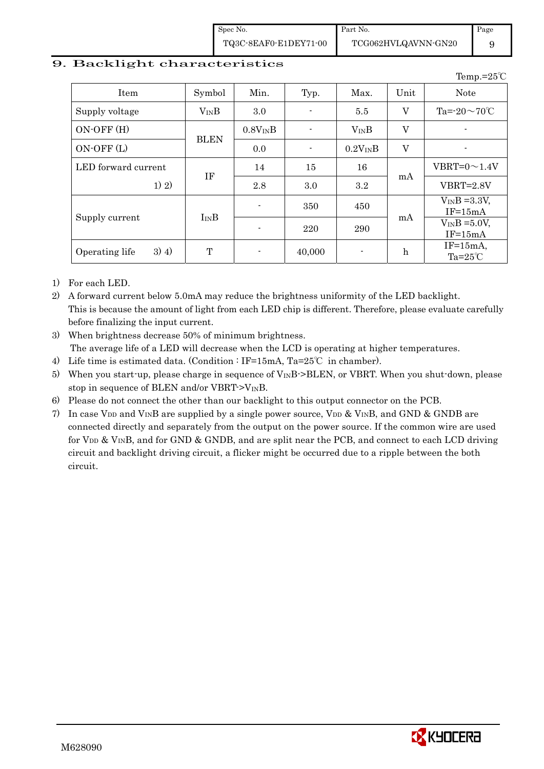Spec No. TQ3C-8EAF0-E1DEY71-00

# 9. Backlight characteristics

|                           |             |                          |        |              |             | Temp.= $25^{\circ}$ C             |
|---------------------------|-------------|--------------------------|--------|--------------|-------------|-----------------------------------|
| Item                      | Symbol      | Min.                     | Typ.   | Max.         | Unit        | <b>Note</b>                       |
| Supply voltage            | $V_{IN}B$   | 3.0                      |        | 5.5          | V           | Ta= $-20 \sim 70^{\circ}C$        |
| ON-OFF (H)                |             | $0.8V_{IN}B$             |        | $V_{IN}B$    | V           | $\overline{\phantom{0}}$          |
| ON-OFF (L)                | <b>BLEN</b> | 0.0                      |        | $0.2V_{IN}B$ | V           |                                   |
| LED forward current       |             | 14                       | 15     | 16           |             | VBRT= $0 \sim 1.4$ V              |
| 1) 2)                     | IF          | 2.8                      | 3.0    | $3.2\,$      | mA          | $VBRT = 2.8V$                     |
|                           |             | $\overline{\phantom{a}}$ | 350    | 450          |             | $V_{IN}B = 3.3V$ ,<br>$IF=15mA$   |
| Supply current            | $I_{IN}B$   | $\overline{\phantom{a}}$ | 220    | 290          | mA          | $V_{IN}B = 5.0V$ ,<br>$IF=15mA$   |
| $3)$ 4)<br>Operating life | T           | $\blacksquare$           | 40,000 |              | $\mathbf h$ | $IF=15mA$ ,<br>Ta= $25^{\circ}$ C |

1) For each LED.

2) A forward current below 5.0mA may reduce the brightness uniformity of the LED backlight. This is because the amount of light from each LED chip is different. Therefore, please evaluate carefully before finalizing the input current.

- 3) When brightness decrease 50% of minimum brightness. The average life of a LED will decrease when the LCD is operating at higher temperatures.
- 4) Life time is estimated data. (Condition : IF=15mA, Ta=25℃ in chamber).
- 5) When you start-up, please charge in sequence of  $V_{\text{IN}}B$ ->BLEN, or VBRT. When you shut-down, please stop in sequence of BLEN and/or VBRT- $>V_{IN}B$ .
- 6) Please do not connect the other than our backlight to this output connector on the PCB.
- 7) In case V<sub>DD</sub> and V<sub>IN</sub>B are supplied by a single power source, V<sub>DD</sub> & V<sub>IN</sub>B, and GND & GNDB are connected directly and separately from the output on the power source. If the common wire are used for  $V_{DD}$  &  $V_{IN}B$ , and for GND & GNDB, and are split near the PCB, and connect to each LCD driving circuit and backlight driving circuit, a flicker might be occurred due to a ripple between the both circuit.



9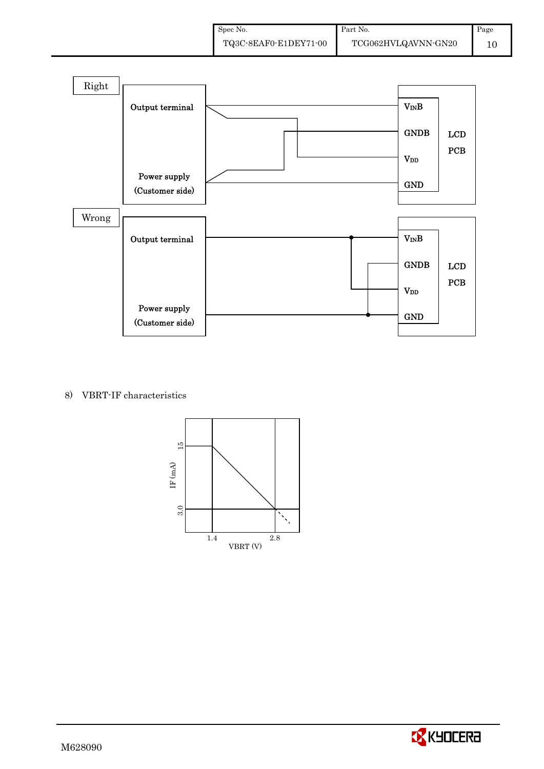

## 8) VBRT-IF characteristics



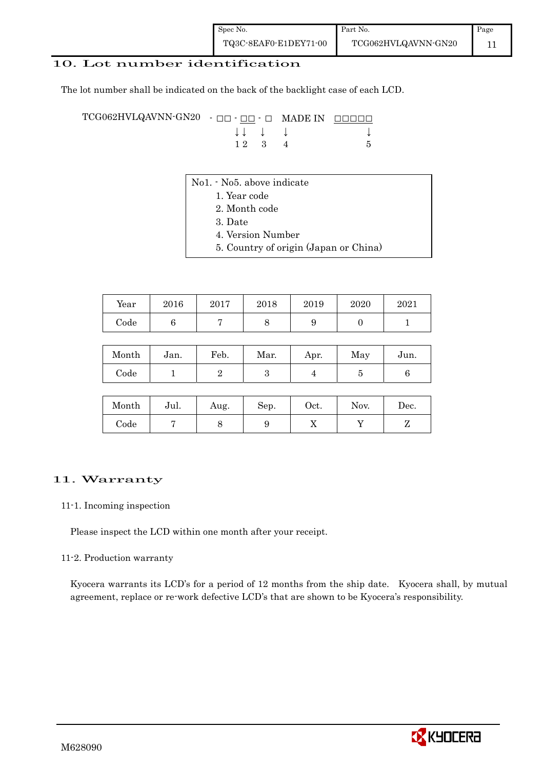## 10. Lot number identification

The lot number shall be indicated on the back of the backlight case of each LCD.

TCG062HVLQAVNN-GN20 - □□ - □□ - □ MADE IN □□□□□ ↓ ↓ ↓ ↓ ↓  $1 2 3 4 5$ 

- No1. No5. above indicate
	- 1. Year code
		- 2. Month code
		- 3. Date
		- 4. Version Number
	- 5. Country of origin (Japan or China)

| Year | 2016 | 2017 | 2018 | 2019 | 2020 | 2021 |
|------|------|------|------|------|------|------|
| Code |      |      |      |      |      |      |

| Month | Jan. | Feb. | Mar. | Apr. | May | Jun. |
|-------|------|------|------|------|-----|------|
| Code  |      |      |      |      |     |      |

| Month      | Jul. | Aug. | Sep. | Oct. | Nov. | Dec. |
|------------|------|------|------|------|------|------|
| $\rm Code$ |      |      |      | ∡⊾   |      |      |

#### 11. Warranty

#### 11-1. Incoming inspection

Please inspect the LCD within one month after your receipt.

#### 11-2. Production warranty

 Kyocera warrants its LCD's for a period of 12 months from the ship date. Kyocera shall, by mutual agreement, replace or re-work defective LCD's that are shown to be Kyocera's responsibility.

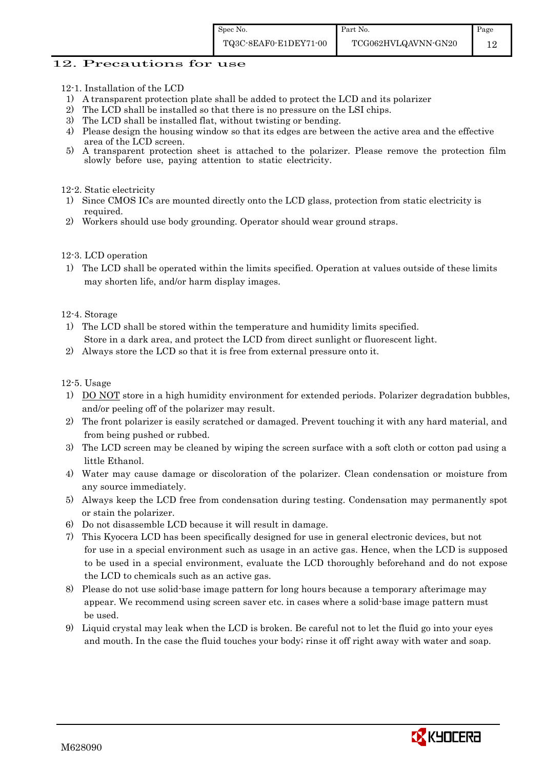Page 12

Part No.

## 12. Precautions for use

- 12-1. Installation of the LCD
- 1) A transparent protection plate shall be added to protect the LCD and its polarizer
- 2) The LCD shall be installed so that there is no pressure on the LSI chips.
- 3) The LCD shall be installed flat, without twisting or bending.
- 4) Please design the housing window so that its edges are between the active area and the effective area of the LCD screen.<br>5) A transparent protection
- 5) A transparent protection sheet is attached to the polarizer. Please remove the protection film slowly before use, paying attention to static electricity.

#### 12-2. Static electricity

- 1) Since CMOS ICs are mounted directly onto the LCD glass, protection from static electricity is required.
- 2) Workers should use body grounding. Operator should wear ground straps.

#### 12-3. LCD operation

1) The LCD shall be operated within the limits specified. Operation at values outside of these limits may shorten life, and/or harm display images.

#### 12-4. Storage

- 1) The LCD shall be stored within the temperature and humidity limits specified. Store in a dark area, and protect the LCD from direct sunlight or fluorescent light.
- 2) Always store the LCD so that it is free from external pressure onto it.

#### 12-5. Usage

- 1) DO NOT store in a high humidity environment for extended periods. Polarizer degradation bubbles, and/or peeling off of the polarizer may result.
- 2) The front polarizer is easily scratched or damaged. Prevent touching it with any hard material, and from being pushed or rubbed.
- 3) The LCD screen may be cleaned by wiping the screen surface with a soft cloth or cotton pad using a little Ethanol.
- 4) Water may cause damage or discoloration of the polarizer. Clean condensation or moisture from any source immediately.
- 5) Always keep the LCD free from condensation during testing. Condensation may permanently spot or stain the polarizer.
- 6) Do not disassemble LCD because it will result in damage.
- 7) This Kyocera LCD has been specifically designed for use in general electronic devices, but not for use in a special environment such as usage in an active gas. Hence, when the LCD is supposed to be used in a special environment, evaluate the LCD thoroughly beforehand and do not expose the LCD to chemicals such as an active gas.
- 8) Please do not use solid-base image pattern for long hours because a temporary afterimage may appear. We recommend using screen saver etc. in cases where a solid-base image pattern must be used.
- 9) Liquid crystal may leak when the LCD is broken. Be careful not to let the fluid go into your eyes and mouth. In the case the fluid touches your body; rinse it off right away with water and soap.

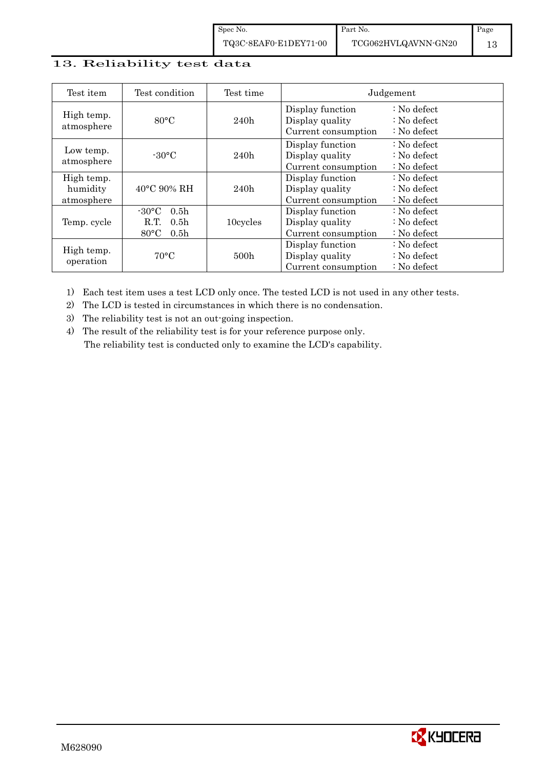Spec No. TQ3C-8EAF0-E1DEY71-00

| Test item               | Test condition                     | Test time |                                     | Judgement                                        |
|-------------------------|------------------------------------|-----------|-------------------------------------|--------------------------------------------------|
| High temp.              | $80^{\circ}$ C                     | 240h      | Display function<br>Display quality | $\therefore$ No defect<br>$\therefore$ No defect |
| atmosphere              |                                    |           | Current consumption                 | $\therefore$ No defect                           |
|                         |                                    |           | Display function                    | $\therefore$ No defect                           |
| Low temp.<br>atmosphere | $-30^{\circ}$ C                    | 240h      | Display quality                     | : No defect                                      |
|                         |                                    |           | Current consumption                 | $\therefore$ No defect                           |
| High temp.              |                                    |           | Display function                    | $\therefore$ No defect                           |
| humidity                | $40^{\circ}$ C 90% RH              | 240h      | Display quality                     | $\therefore$ No defect                           |
| atmosphere              |                                    |           | Current consumption                 | : No defect                                      |
|                         | $-30\degree C$<br>0.5 <sub>h</sub> |           | Display function                    | $\therefore$ No defect                           |
| Temp. cycle             | R.T.<br>0.5 <sub>h</sub>           | 10cycles  | Display quality                     | $\therefore$ No defect                           |
|                         | $80^{\circ}$ C<br>0.5 <sub>h</sub> |           | Current consumption                 | $\therefore$ No defect                           |
|                         |                                    |           | Display function                    | $\therefore$ No defect                           |
| High temp.              | $70^{\circ}$ C                     | 500h      | Display quality                     | $\therefore$ No defect                           |
| operation               |                                    |           | Current consumption                 | $\therefore$ No defect                           |

1) Each test item uses a test LCD only once. The tested LCD is not used in any other tests.

2) The LCD is tested in circumstances in which there is no condensation.

3) The reliability test is not an out-going inspection.

4) The result of the reliability test is for your reference purpose only. The reliability test is conducted only to examine the LCD's capability.

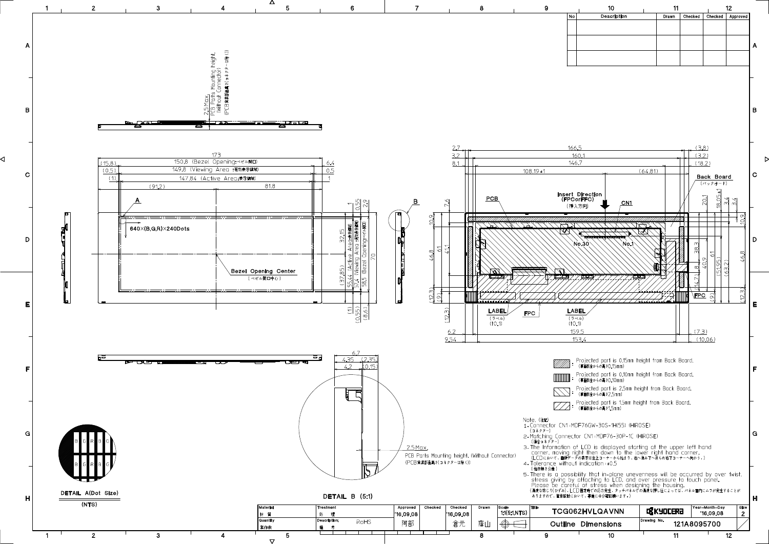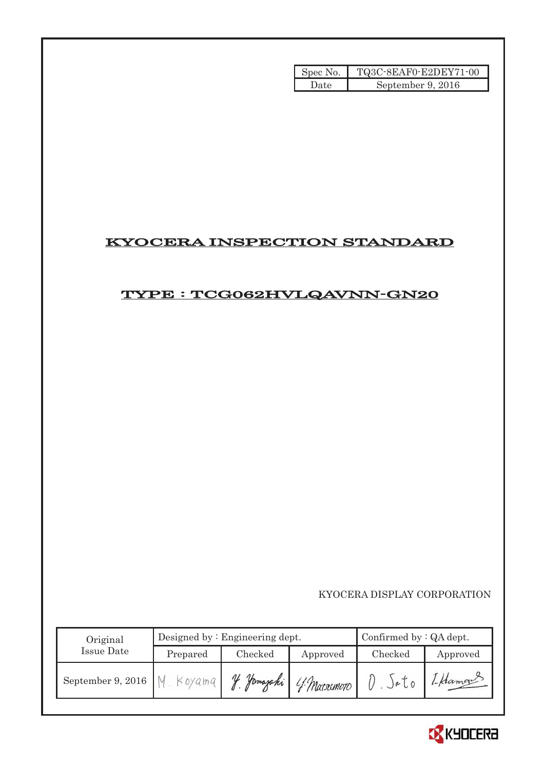| Spec No. | TQ3C-8EAF0-E2DEY71-00 |
|----------|-----------------------|
| Date     | September 9, 2016     |

# KYOCERA INSPECTION STANDARD

# TYPE : TCG062HVLQAVNN-GN20

KYOCERA DISPLAY CORPORATION

| Original          |          | Designed by $:$ Engineering dept. | Confirmed by $:QA$ dept. |               |          |
|-------------------|----------|-----------------------------------|--------------------------|---------------|----------|
| <b>Issue Date</b> | Prepared | Checked                           | Approved                 | Checked       | Approved |
| September 9, 2016 | Koyama   | V<br>Hamazaki                     | 4 Matacmoto              | $A \circ L_0$ | 1-Hamour |

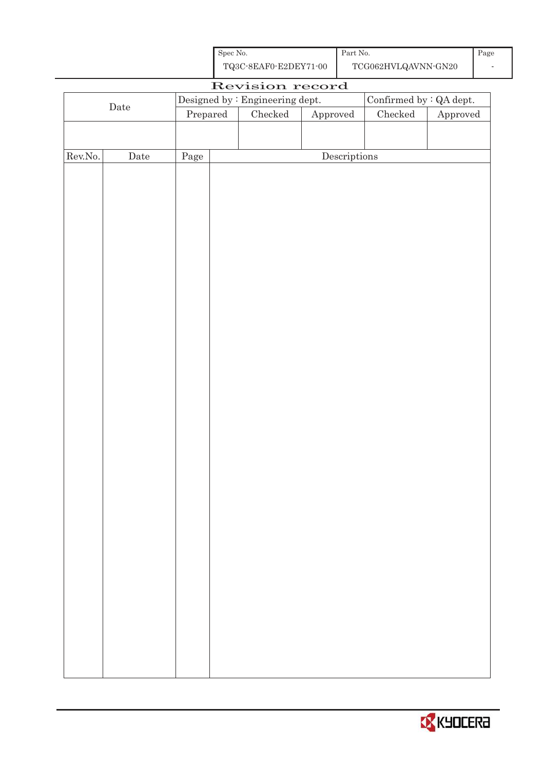| Spec No.              | Part No.            | Page |
|-----------------------|---------------------|------|
| TQ3C-8EAF0-E2DEY71-00 | TCG062HVLQAVNN-GN20 |      |

| Revision record |      |                                                                 |                                      |  |                                |         |          |  |
|-----------------|------|-----------------------------------------------------------------|--------------------------------------|--|--------------------------------|---------|----------|--|
| $\rm{Date}$     |      | $\label{eq:obs:psigneq} \text{Designed by : Engineering dept.}$ |                                      |  | Confirmed by $\colon$ QA dept. |         |          |  |
|                 |      | Prepared                                                        |                                      |  | Approved<br>$\rm Checked$      |         | Approved |  |
|                 |      |                                                                 |                                      |  |                                | Checked |          |  |
|                 |      |                                                                 |                                      |  |                                |         |          |  |
| Rev.No.         | Date | Page                                                            | $\label{eq:2} \textbf{Descriptions}$ |  |                                |         |          |  |
|                 |      |                                                                 |                                      |  |                                |         |          |  |
|                 |      |                                                                 |                                      |  |                                |         |          |  |
|                 |      |                                                                 |                                      |  |                                |         |          |  |
|                 |      |                                                                 |                                      |  |                                |         |          |  |
|                 |      |                                                                 |                                      |  |                                |         |          |  |
|                 |      |                                                                 |                                      |  |                                |         |          |  |
|                 |      |                                                                 |                                      |  |                                |         |          |  |
|                 |      |                                                                 |                                      |  |                                |         |          |  |
|                 |      |                                                                 |                                      |  |                                |         |          |  |
|                 |      |                                                                 |                                      |  |                                |         |          |  |
|                 |      |                                                                 |                                      |  |                                |         |          |  |
|                 |      |                                                                 |                                      |  |                                |         |          |  |
|                 |      |                                                                 |                                      |  |                                |         |          |  |
|                 |      |                                                                 |                                      |  |                                |         |          |  |
|                 |      |                                                                 |                                      |  |                                |         |          |  |
|                 |      |                                                                 |                                      |  |                                |         |          |  |
|                 |      |                                                                 |                                      |  |                                |         |          |  |
|                 |      |                                                                 |                                      |  |                                |         |          |  |
|                 |      |                                                                 |                                      |  |                                |         |          |  |
|                 |      |                                                                 |                                      |  |                                |         |          |  |
|                 |      |                                                                 |                                      |  |                                |         |          |  |
|                 |      |                                                                 |                                      |  |                                |         |          |  |
|                 |      |                                                                 |                                      |  |                                |         |          |  |
|                 |      |                                                                 |                                      |  |                                |         |          |  |
|                 |      |                                                                 |                                      |  |                                |         |          |  |
|                 |      |                                                                 |                                      |  |                                |         |          |  |
|                 |      |                                                                 |                                      |  |                                |         |          |  |
|                 |      |                                                                 |                                      |  |                                |         |          |  |
|                 |      |                                                                 |                                      |  |                                |         |          |  |
|                 |      |                                                                 |                                      |  |                                |         |          |  |
|                 |      |                                                                 |                                      |  |                                |         |          |  |
|                 |      |                                                                 |                                      |  |                                |         |          |  |
|                 |      |                                                                 |                                      |  |                                |         |          |  |
|                 |      |                                                                 |                                      |  |                                |         |          |  |
|                 |      |                                                                 |                                      |  |                                |         |          |  |
|                 |      |                                                                 |                                      |  |                                |         |          |  |
|                 |      |                                                                 |                                      |  |                                |         |          |  |

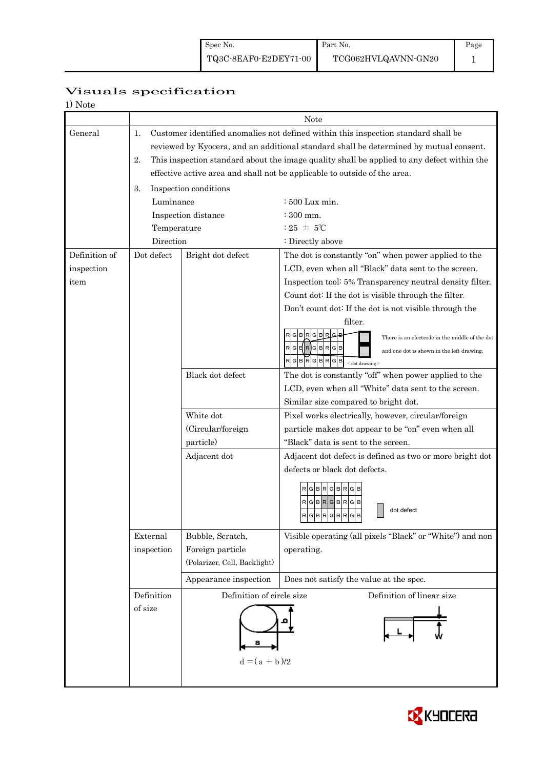Part No.

# Page 1

# Visuals specification

1) Note

|               |                                                                                                                                                                                                                                                                                        | Note                                                                      |                                                                                                                                             |  |  |  |  |
|---------------|----------------------------------------------------------------------------------------------------------------------------------------------------------------------------------------------------------------------------------------------------------------------------------------|---------------------------------------------------------------------------|---------------------------------------------------------------------------------------------------------------------------------------------|--|--|--|--|
| General       | Customer identified anomalies not defined within this inspection standard shall be<br>1.<br>reviewed by Kyocera, and an additional standard shall be determined by mutual consent.<br>2.<br>This inspection standard about the image quality shall be applied to any defect within the |                                                                           |                                                                                                                                             |  |  |  |  |
|               |                                                                                                                                                                                                                                                                                        | effective active area and shall not be applicable to outside of the area. |                                                                                                                                             |  |  |  |  |
|               | 3.                                                                                                                                                                                                                                                                                     | Inspection conditions                                                     |                                                                                                                                             |  |  |  |  |
|               | Luminance                                                                                                                                                                                                                                                                              |                                                                           | $\div 500$ Lux min.                                                                                                                         |  |  |  |  |
|               |                                                                                                                                                                                                                                                                                        | Inspection distance                                                       | $\div$ 300 mm.                                                                                                                              |  |  |  |  |
|               | Temperature                                                                                                                                                                                                                                                                            |                                                                           | : 25 $\pm$ 5°C                                                                                                                              |  |  |  |  |
|               | Direction                                                                                                                                                                                                                                                                              |                                                                           | : Directly above                                                                                                                            |  |  |  |  |
| Definition of | Dot defect                                                                                                                                                                                                                                                                             | Bright dot defect                                                         | The dot is constantly "on" when power applied to the                                                                                        |  |  |  |  |
| inspection    |                                                                                                                                                                                                                                                                                        |                                                                           | LCD, even when all "Black" data sent to the screen.                                                                                         |  |  |  |  |
| item          |                                                                                                                                                                                                                                                                                        |                                                                           | Inspection tool: 5% Transparency neutral density filter.                                                                                    |  |  |  |  |
|               |                                                                                                                                                                                                                                                                                        |                                                                           | Count dot: If the dot is visible through the filter.                                                                                        |  |  |  |  |
|               |                                                                                                                                                                                                                                                                                        |                                                                           | Don't count dot: If the dot is not visible through the                                                                                      |  |  |  |  |
|               |                                                                                                                                                                                                                                                                                        |                                                                           | filter.<br>There is an electrode in the middle of the dot<br>GBRGBRGB<br>and one dot is shown in the left drawing.<br>$G$ $B$<br><b>GBR</b> |  |  |  |  |
|               |                                                                                                                                                                                                                                                                                        | Black dot defect                                                          | $<$ dot drawing $>$<br>The dot is constantly "off" when power applied to the                                                                |  |  |  |  |
|               |                                                                                                                                                                                                                                                                                        |                                                                           | LCD, even when all "White" data sent to the screen.                                                                                         |  |  |  |  |
|               |                                                                                                                                                                                                                                                                                        |                                                                           | Similar size compared to bright dot.                                                                                                        |  |  |  |  |
|               |                                                                                                                                                                                                                                                                                        | White dot                                                                 | Pixel works electrically, however, circular/foreign                                                                                         |  |  |  |  |
|               |                                                                                                                                                                                                                                                                                        | (Circular/foreign                                                         | particle makes dot appear to be "on" even when all                                                                                          |  |  |  |  |
|               |                                                                                                                                                                                                                                                                                        | particle)                                                                 | "Black" data is sent to the screen.                                                                                                         |  |  |  |  |
|               |                                                                                                                                                                                                                                                                                        | Adjacent dot                                                              | Adjacent dot defect is defined as two or more bright dot                                                                                    |  |  |  |  |
|               |                                                                                                                                                                                                                                                                                        |                                                                           | defects or black dot defects.                                                                                                               |  |  |  |  |
|               |                                                                                                                                                                                                                                                                                        |                                                                           | $R$ G $B$ R $G$ B $R$ G $B$<br>RGBRGBRGB<br>dot defect<br>$R$ G $B$ R $G$ B $R$ G $B$                                                       |  |  |  |  |
|               | External                                                                                                                                                                                                                                                                               | Bubble, Scratch,                                                          | Visible operating (all pixels "Black" or "White") and non                                                                                   |  |  |  |  |
|               | inspection                                                                                                                                                                                                                                                                             | Foreign particle                                                          | operating.                                                                                                                                  |  |  |  |  |
|               |                                                                                                                                                                                                                                                                                        | (Polarizer, Cell, Backlight)                                              |                                                                                                                                             |  |  |  |  |
|               |                                                                                                                                                                                                                                                                                        | Appearance inspection                                                     | Does not satisfy the value at the spec.                                                                                                     |  |  |  |  |
|               | Definition                                                                                                                                                                                                                                                                             | Definition of circle size<br>Definition of linear size                    |                                                                                                                                             |  |  |  |  |
|               | of size                                                                                                                                                                                                                                                                                | $d = (a + b)/2$                                                           |                                                                                                                                             |  |  |  |  |
|               |                                                                                                                                                                                                                                                                                        |                                                                           |                                                                                                                                             |  |  |  |  |